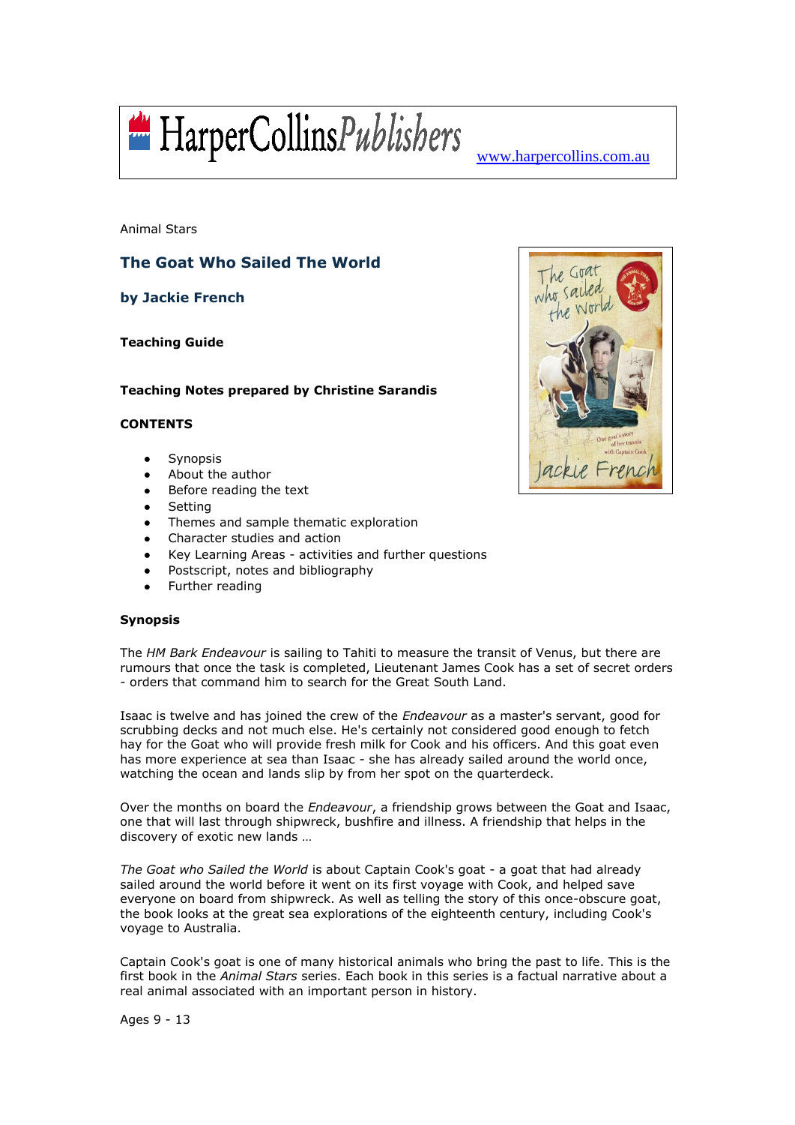

Animal Stars

# **The Goat Who Sailed The World**

**by Jackie French**

**Teaching Guide**

## **Teaching Notes prepared by Christine Sarandis**

## **CONTENTS**

- Synopsis  $\bullet$
- About the author
- Before reading the text
- **Setting**
- Themes and sample thematic exploration
- Character studies and action
- Key Learning Areas activities and further questions
- Postscript, notes and bibliography
- Further reading

## **Synopsis**

The *HM Bark Endeavour* is sailing to Tahiti to measure the transit of Venus, but there are rumours that once the task is completed, Lieutenant James Cook has a set of secret orders - orders that command him to search for the Great South Land.

Isaac is twelve and has joined the crew of the *Endeavour* as a master's servant, good for scrubbing decks and not much else. He's certainly not considered good enough to fetch hay for the Goat who will provide fresh milk for Cook and his officers. And this goat even has more experience at sea than Isaac - she has already sailed around the world once, watching the ocean and lands slip by from her spot on the quarterdeck.

Over the months on board the *Endeavour*, a friendship grows between the Goat and Isaac, one that will last through shipwreck, bushfire and illness. A friendship that helps in the discovery of exotic new lands …

*The Goat who Sailed the World* is about Captain Cook's goat - a goat that had already sailed around the world before it went on its first voyage with Cook, and helped save everyone on board from shipwreck. As well as telling the story of this once-obscure goat, the book looks at the great sea explorations of the eighteenth century, including Cook's voyage to Australia.

Captain Cook's goat is one of many historical animals who bring the past to life. This is the first book in the *Animal Stars* series. Each book in this series is a factual narrative about a real animal associated with an important person in history.



Ages 9 - 13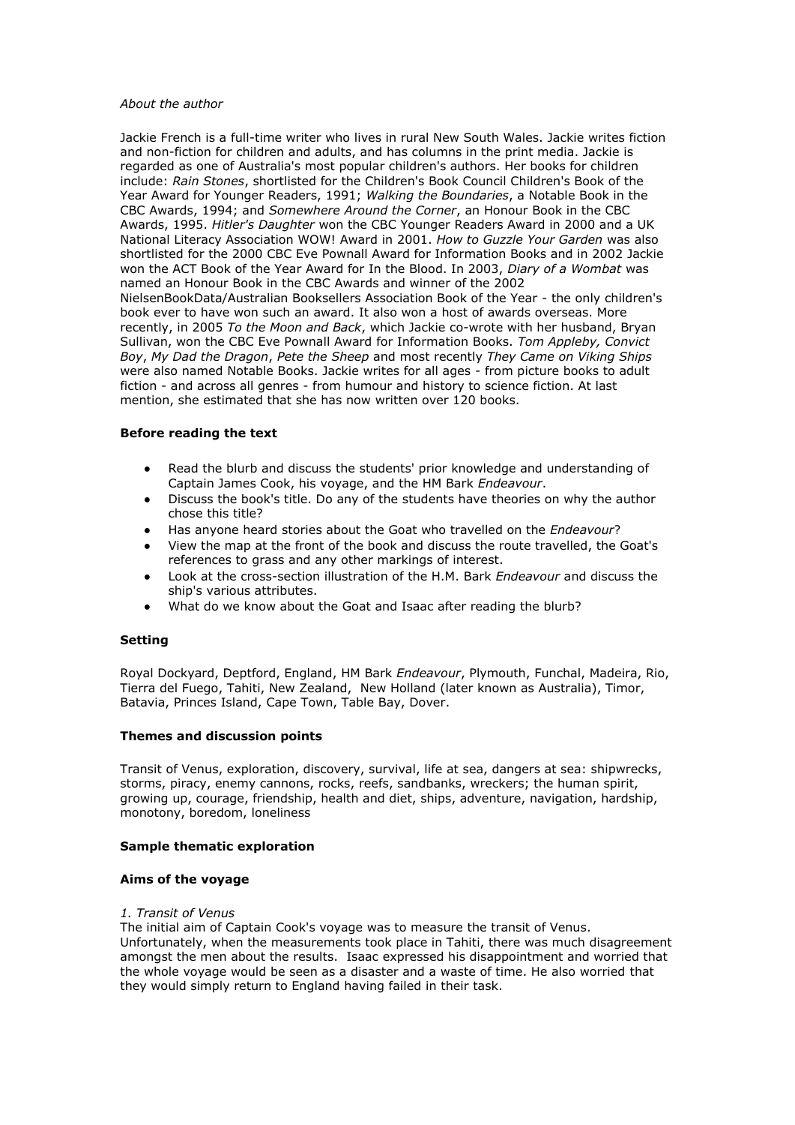#### *About the author*

Jackie French is a full-time writer who lives in rural New South Wales. Jackie writes fiction and non-fiction for children and adults, and has columns in the print media. Jackie is regarded as one of Australia's most popular children's authors. Her books for children include: *Rain Stones*, shortlisted for the Children's Book Council Children's Book of the Year Award for Younger Readers, 1991; *Walking the Boundaries*, a Notable Book in the CBC Awards, 1994; and *Somewhere Around the Corner*, an Honour Book in the CBC Awards, 1995. *Hitler's Daughter* won the CBC Younger Readers Award in 2000 and a UK National Literacy Association WOW! Award in 2001. *How to Guzzle Your Garden* was also shortlisted for the 2000 CBC Eve Pownall Award for Information Books and in 2002 Jackie won the ACT Book of the Year Award for In the Blood. In 2003, *Diary of a Wombat* was named an Honour Book in the CBC Awards and winner of the 2002 NielsenBookData/Australian Booksellers Association Book of the Year - the only children's book ever to have won such an award. It also won a host of awards overseas. More recently, in 2005 *To the Moon and Back*, which Jackie co-wrote with her husband, Bryan Sullivan, won the CBC Eve Pownall Award for Information Books. *Tom Appleby, Convict Boy*, *My Dad the Dragon*, *Pete the Sheep* and most recently *They Came on Viking Ships* were also named Notable Books. Jackie writes for all ages - from picture books to adult fiction - and across all genres - from humour and history to science fiction. At last mention, she estimated that she has now written over 120 books.

## **Before reading the text**

- Read the blurb and discuss the students' prior knowledge and understanding of Captain James Cook, his voyage, and the HM Bark *Endeavour*.
- Discuss the book's title. Do any of the students have theories on why the author chose this title?
- Has anyone heard stories about the Goat who travelled on the *Endeavour*?
- View the map at the front of the book and discuss the route travelled, the Goat's references to grass and any other markings of interest.
- Look at the cross-section illustration of the H.M. Bark *Endeavour* and discuss the ship's various attributes.
- What do we know about the Goat and Isaac after reading the blurb?

## **Setting**

Royal Dockyard, Deptford, England, HM Bark *Endeavour*, Plymouth, Funchal, Madeira, Rio, Tierra del Fuego, Tahiti, New Zealand, New Holland (later known as Australia), Timor, Batavia, Princes Island, Cape Town, Table Bay, Dover.

#### **Themes and discussion points**

Transit of Venus, exploration, discovery, survival, life at sea, dangers at sea: shipwrecks, storms, piracy, enemy cannons, rocks, reefs, sandbanks, wreckers; the human spirit, growing up, courage, friendship, health and diet, ships, adventure, navigation, hardship, monotony, boredom, loneliness

#### **Sample thematic exploration**

#### **Aims of the voyage**

#### *1. Transit of Venus*

The initial aim of Captain Cook's voyage was to measure the transit of Venus. Unfortunately, when the measurements took place in Tahiti, there was much disagreement amongst the men about the results. Isaac expressed his disappointment and worried that the whole voyage would be seen as a disaster and a waste of time. He also worried that they would simply return to England having failed in their task.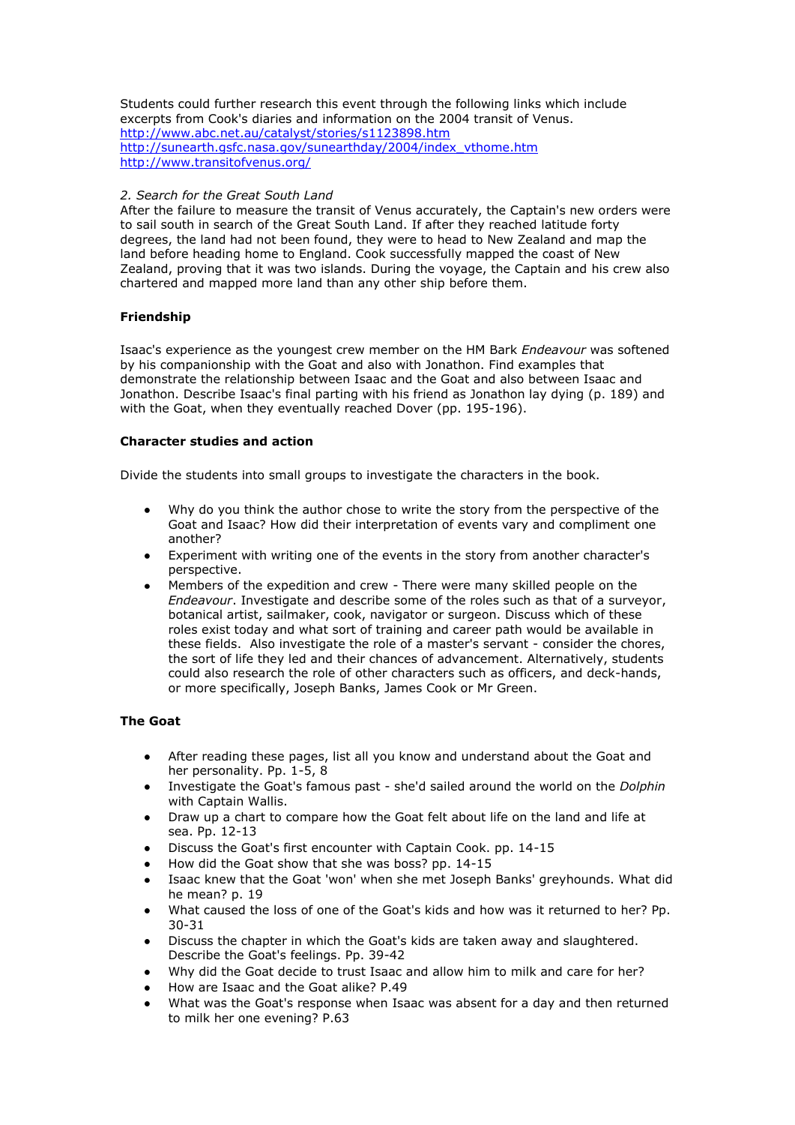Students could further research this event through the following links which include excerpts from Cook's diaries and information on the 2004 transit of Venus. <http://www.abc.net.au/catalyst/stories/s1123898.htm> [http://sunearth.gsfc.nasa.gov/sunearthday/2004/index\\_vthome.htm](http://sunearth.gsfc.nasa.gov/sunearthday/2004/index_vthome.htm) <http://www.transitofvenus.org/>

## *2. Search for the Great South Land*

After the failure to measure the transit of Venus accurately, the Captain's new orders were to sail south in search of the Great South Land. If after they reached latitude forty degrees, the land had not been found, they were to head to New Zealand and map the land before heading home to England. Cook successfully mapped the coast of New Zealand, proving that it was two islands. During the voyage, the Captain and his crew also chartered and mapped more land than any other ship before them.

## **Friendship**

Isaac's experience as the youngest crew member on the HM Bark *Endeavour* was softened by his companionship with the Goat and also with Jonathon. Find examples that demonstrate the relationship between Isaac and the Goat and also between Isaac and Jonathon. Describe Isaac's final parting with his friend as Jonathon lay dying (p. 189) and with the Goat, when they eventually reached Dover (pp. 195-196).

#### **Character studies and action**

Divide the students into small groups to investigate the characters in the book.

- Why do you think the author chose to write the story from the perspective of the Goat and Isaac? How did their interpretation of events vary and compliment one another?
- Experiment with writing one of the events in the story from another character's perspective.
- Members of the expedition and crew There were many skilled people on the *Endeavour*. Investigate and describe some of the roles such as that of a surveyor, botanical artist, sailmaker, cook, navigator or surgeon. Discuss which of these roles exist today and what sort of training and career path would be available in these fields. Also investigate the role of a master's servant - consider the chores, the sort of life they led and their chances of advancement. Alternatively, students could also research the role of other characters such as officers, and deck-hands, or more specifically, Joseph Banks, James Cook or Mr Green.

## **The Goat**

- After reading these pages, list all you know and understand about the Goat and  $\bullet$ her personality. Pp. 1-5, 8
- Investigate the Goat's famous past she'd sailed around the world on the *Dolphin* with Captain Wallis.
- Draw up a chart to compare how the Goat felt about life on the land and life at sea. Pp. 12-13
- Discuss the Goat's first encounter with Captain Cook. pp. 14-15
- How did the Goat show that she was boss? pp. 14-15
- Isaac knew that the Goat 'won' when she met Joseph Banks' greyhounds. What did he mean? p. 19
- What caused the loss of one of the Goat's kids and how was it returned to her? Pp. 30-31
- Discuss the chapter in which the Goat's kids are taken away and slaughtered. Describe the Goat's feelings. Pp. 39-42
- Why did the Goat decide to trust Isaac and allow him to milk and care for her?
- How are Isaac and the Goat alike? P.49
- What was the Goat's response when Isaac was absent for a day and then returned to milk her one evening? P.63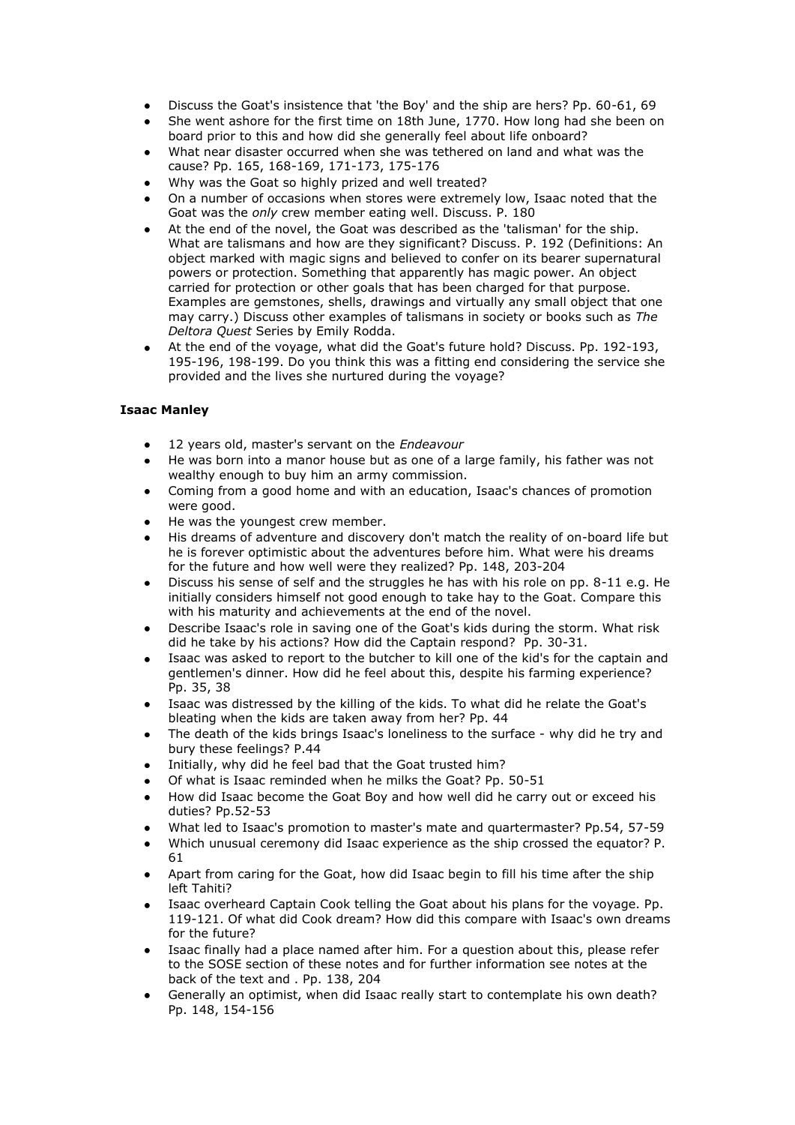- Discuss the Goat's insistence that 'the Boy' and the ship are hers? Pp. 60-61, 69
- She went ashore for the first time on 18th June, 1770. How long had she been on board prior to this and how did she generally feel about life onboard?
- What near disaster occurred when she was tethered on land and what was the cause? Pp. 165, 168-169, 171-173, 175-176
- Why was the Goat so highly prized and well treated?
- On a number of occasions when stores were extremely low, Isaac noted that the Goat was the *only* crew member eating well. Discuss. P. 180
- At the end of the novel, the Goat was described as the 'talisman' for the ship. What are talismans and how are they significant? Discuss. P. 192 (Definitions: An object marked with magic signs and believed to confer on its bearer supernatural powers or protection. Something that apparently has magic power. An object carried for protection or other goals that has been charged for that purpose. Examples are gemstones, shells, drawings and virtually any small object that one may carry.) Discuss other examples of talismans in society or books such as *The Deltora Quest* Series by Emily Rodda.
- At the end of the voyage, what did the Goat's future hold? Discuss. Pp. 192-193, 195-196, 198-199. Do you think this was a fitting end considering the service she provided and the lives she nurtured during the voyage?

# **Isaac Manley**

- 12 years old, master's servant on the *Endeavour*
- He was born into a manor house but as one of a large family, his father was not wealthy enough to buy him an army commission.
- Coming from a good home and with an education, Isaac's chances of promotion were good.
- He was the youngest crew member.
- His dreams of adventure and discovery don't match the reality of on-board life but he is forever optimistic about the adventures before him. What were his dreams for the future and how well were they realized? Pp. 148, 203-204
- Discuss his sense of self and the struggles he has with his role on pp. 8-11 e.g. He initially considers himself not good enough to take hay to the Goat. Compare this with his maturity and achievements at the end of the novel.
- Describe Isaac's role in saving one of the Goat's kids during the storm. What risk did he take by his actions? How did the Captain respond? Pp. 30-31.
- Isaac was asked to report to the butcher to kill one of the kid's for the captain and gentlemen's dinner. How did he feel about this, despite his farming experience? Pp. 35, 38
- Isaac was distressed by the killing of the kids. To what did he relate the Goat's bleating when the kids are taken away from her? Pp. 44
- The death of the kids brings Isaac's loneliness to the surface why did he try and bury these feelings? P.44
- Initially, why did he feel bad that the Goat trusted him?
- Of what is Isaac reminded when he milks the Goat? Pp. 50-51
- How did Isaac become the Goat Boy and how well did he carry out or exceed his duties? Pp.52-53
- What led to Isaac's promotion to master's mate and quartermaster? Pp.54, 57-59
- Which unusual ceremony did Isaac experience as the ship crossed the equator? P. 61
- Apart from caring for the Goat, how did Isaac begin to fill his time after the ship left Tahiti?
- Isaac overheard Captain Cook telling the Goat about his plans for the voyage. Pp. 119-121. Of what did Cook dream? How did this compare with Isaac's own dreams for the future?
- Isaac finally had a place named after him. For a question about this, please refer to the SOSE section of these notes and for further information see notes at the back of the text and . Pp. 138, 204
- Generally an optimist, when did Isaac really start to contemplate his own death? Pp. 148, 154-156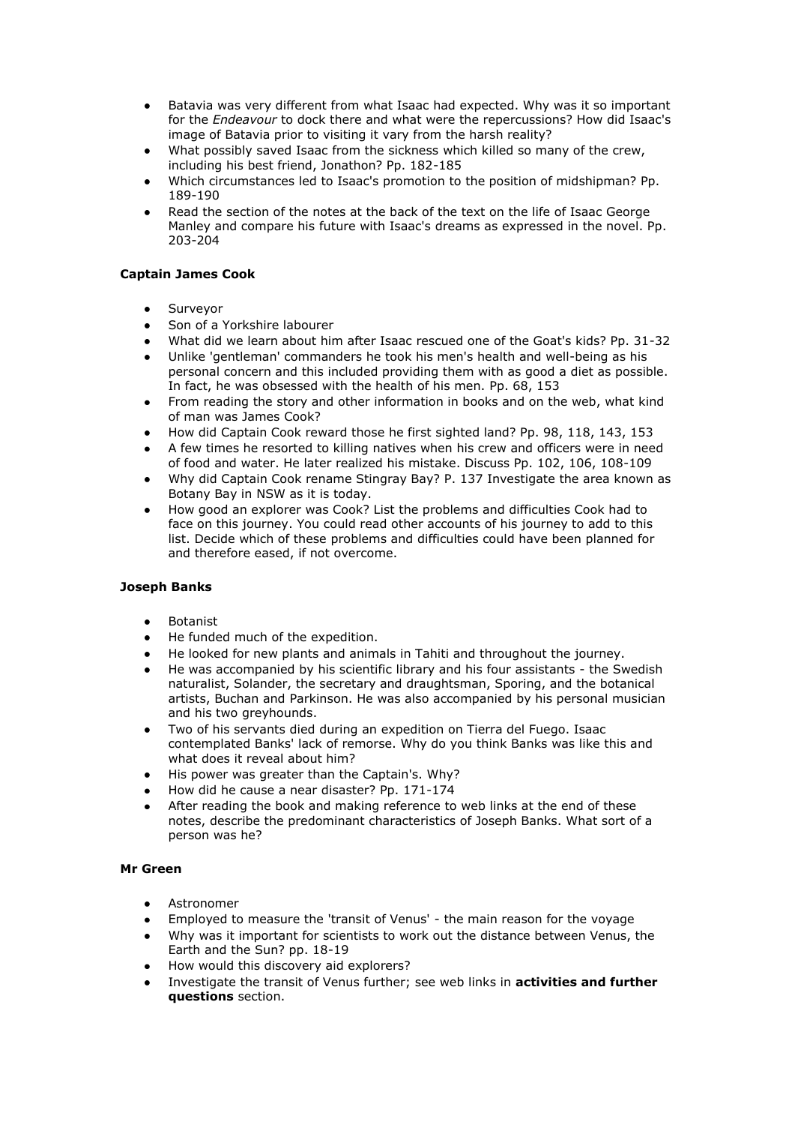- Batavia was very different from what Isaac had expected. Why was it so important  $\bullet$ for the *Endeavour* to dock there and what were the repercussions? How did Isaac's image of Batavia prior to visiting it vary from the harsh reality?
- What possibly saved Isaac from the sickness which killed so many of the crew, including his best friend, Jonathon? Pp. 182-185
- Which circumstances led to Isaac's promotion to the position of midshipman? Pp. 189-190
- Read the section of the notes at the back of the text on the life of Isaac George Manley and compare his future with Isaac's dreams as expressed in the novel. Pp. 203-204

## **Captain James Cook**

- Surveyor
- Son of a Yorkshire labourer
- What did we learn about him after Isaac rescued one of the Goat's kids? Pp. 31-32
- Unlike 'gentleman' commanders he took his men's health and well-being as his personal concern and this included providing them with as good a diet as possible. In fact, he was obsessed with the health of his men. Pp. 68, 153
- From reading the story and other information in books and on the web, what kind of man was James Cook?
- How did Captain Cook reward those he first sighted land? Pp. 98, 118, 143, 153
- A few times he resorted to killing natives when his crew and officers were in need of food and water. He later realized his mistake. Discuss Pp. 102, 106, 108-109
- Why did Captain Cook rename Stingray Bay? P. 137 Investigate the area known as Botany Bay in NSW as it is today.
- How good an explorer was Cook? List the problems and difficulties Cook had to face on this journey. You could read other accounts of his journey to add to this list. Decide which of these problems and difficulties could have been planned for and therefore eased, if not overcome.

## **Joseph Banks**

- Botanist
- He funded much of the expedition.
- He looked for new plants and animals in Tahiti and throughout the journey.
- He was accompanied by his scientific library and his four assistants the Swedish naturalist, Solander, the secretary and draughtsman, Sporing, and the botanical artists, Buchan and Parkinson. He was also accompanied by his personal musician and his two greyhounds.
- Two of his servants died during an expedition on Tierra del Fuego. Isaac contemplated Banks' lack of remorse. Why do you think Banks was like this and what does it reveal about him?
- His power was greater than the Captain's. Why?
- How did he cause a near disaster? Pp. 171-174
- After reading the book and making reference to web links at the end of these notes, describe the predominant characteristics of Joseph Banks. What sort of a person was he?

## **Mr Green**

- Astronomer
- Employed to measure the 'transit of Venus' the main reason for the voyage
- Why was it important for scientists to work out the distance between Venus, the Earth and the Sun? pp. 18-19
- How would this discovery aid explorers?
- Investigate the transit of Venus further; see web links in **activities and further questions** section.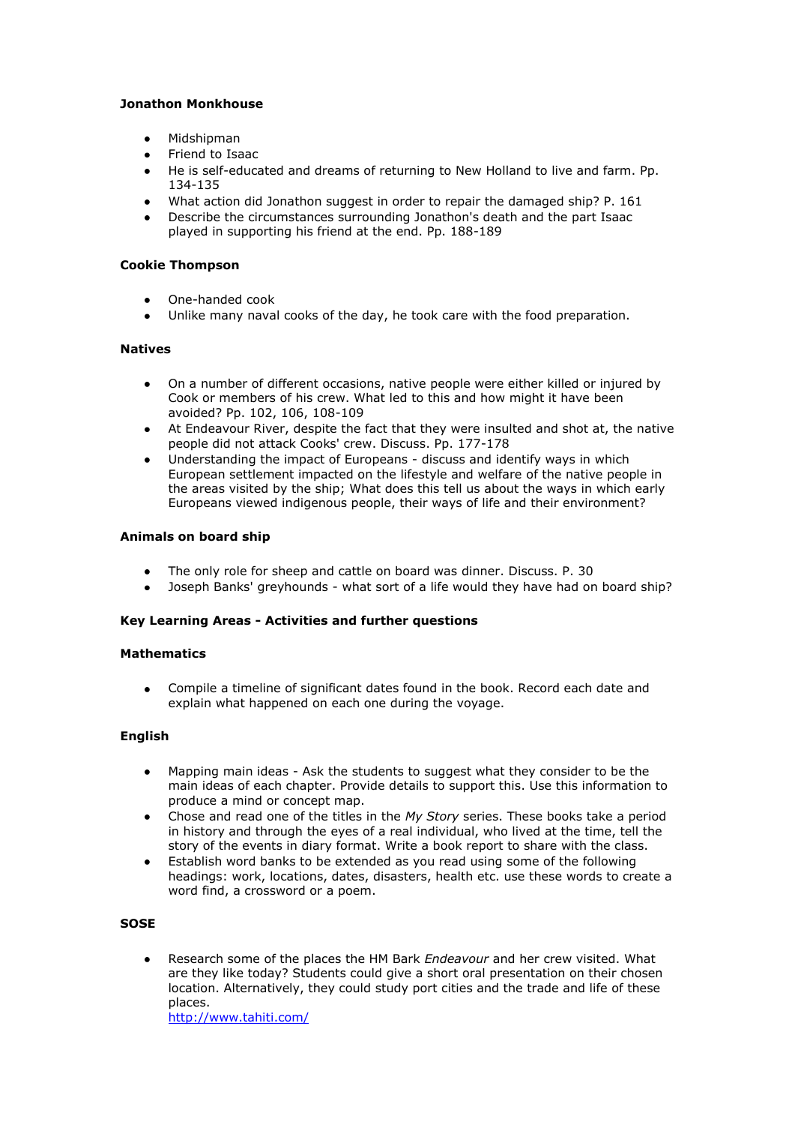# **Jonathon Monkhouse**

- Midshipman
- Friend to Isaac
- He is self-educated and dreams of returning to New Holland to live and farm. Pp. 134-135
- What action did Jonathon suggest in order to repair the damaged ship? P. 161
- Describe the circumstances surrounding Jonathon's death and the part Isaac played in supporting his friend at the end. Pp. 188-189

## **Cookie Thompson**

- One-handed cook
- Unlike many naval cooks of the day, he took care with the food preparation.

## **Natives**

- On a number of different occasions, native people were either killed or injured by Cook or members of his crew. What led to this and how might it have been avoided? Pp. 102, 106, 108-109
- At Endeavour River, despite the fact that they were insulted and shot at, the native people did not attack Cooks' crew. Discuss. Pp. 177-178
- Understanding the impact of Europeans discuss and identify ways in which European settlement impacted on the lifestyle and welfare of the native people in the areas visited by the ship; What does this tell us about the ways in which early Europeans viewed indigenous people, their ways of life and their environment?

## **Animals on board ship**

- The only role for sheep and cattle on board was dinner. Discuss. P. 30
- Joseph Banks' greyhounds what sort of a life would they have had on board ship?

## **Key Learning Areas - Activities and further questions**

## **Mathematics**

Compile a timeline of significant dates found in the book. Record each date and explain what happened on each one during the voyage.

## **English**

- Mapping main ideas Ask the students to suggest what they consider to be the main ideas of each chapter. Provide details to support this. Use this information to produce a mind or concept map.
- Chose and read one of the titles in the *My Story* series. These books take a period in history and through the eyes of a real individual, who lived at the time, tell the story of the events in diary format. Write a book report to share with the class.
- Establish word banks to be extended as you read using some of the following headings: work, locations, dates, disasters, health etc. use these words to create a word find, a crossword or a poem.

## **SOSE**

Research some of the places the HM Bark *Endeavour* and her crew visited. What are they like today? Students could give a short oral presentation on their chosen location. Alternatively, they could study port cities and the trade and life of these places.

<http://www.tahiti.com/>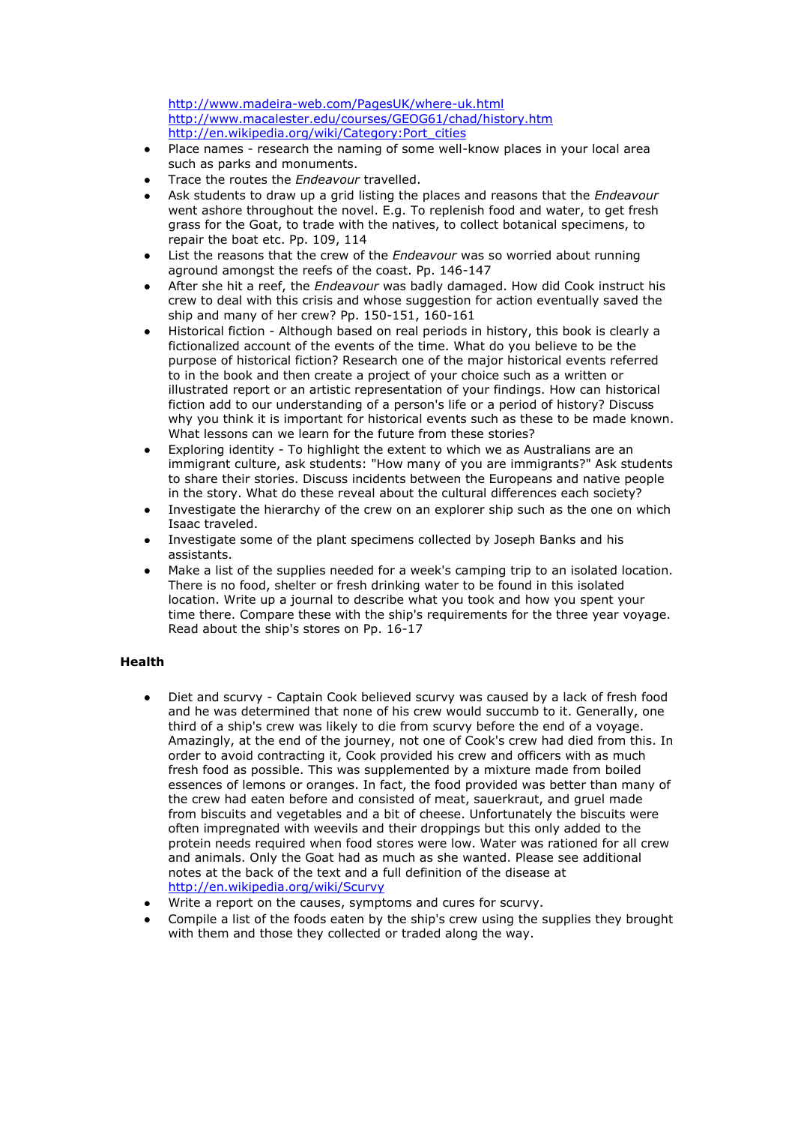<http://www.madeira-web.com/PagesUK/where-uk.html> <http://www.macalester.edu/courses/GEOG61/chad/history.htm> [http://en.wikipedia.org/wiki/Category:Port\\_cities](http://en.wikipedia.org/wiki/Category:Port_cities)

- Place names research the naming of some well-know places in your local area such as parks and monuments.
- Trace the routes the *Endeavour* travelled.
- Ask students to draw up a grid listing the places and reasons that the *Endeavour* went ashore throughout the novel. E.g. To replenish food and water, to get fresh grass for the Goat, to trade with the natives, to collect botanical specimens, to repair the boat etc. Pp. 109, 114
- List the reasons that the crew of the *Endeavour* was so worried about running aground amongst the reefs of the coast. Pp. 146-147
- After she hit a reef, the *Endeavour* was badly damaged. How did Cook instruct his crew to deal with this crisis and whose suggestion for action eventually saved the ship and many of her crew? Pp. 150-151, 160-161
- Historical fiction Although based on real periods in history, this book is clearly a fictionalized account of the events of the time. What do you believe to be the purpose of historical fiction? Research one of the major historical events referred to in the book and then create a project of your choice such as a written or illustrated report or an artistic representation of your findings. How can historical fiction add to our understanding of a person's life or a period of history? Discuss why you think it is important for historical events such as these to be made known. What lessons can we learn for the future from these stories?
- Exploring identity To highlight the extent to which we as Australians are an immigrant culture, ask students: "How many of you are immigrants?" Ask students to share their stories. Discuss incidents between the Europeans and native people in the story. What do these reveal about the cultural differences each society?
- Investigate the hierarchy of the crew on an explorer ship such as the one on which Isaac traveled.
- Investigate some of the plant specimens collected by Joseph Banks and his assistants.
- Make a list of the supplies needed for a week's camping trip to an isolated location. There is no food, shelter or fresh drinking water to be found in this isolated location. Write up a journal to describe what you took and how you spent your time there. Compare these with the ship's requirements for the three year voyage. Read about the ship's stores on Pp. 16-17

# **Health**

- Diet and scurvy Captain Cook believed scurvy was caused by a lack of fresh food and he was determined that none of his crew would succumb to it. Generally, one third of a ship's crew was likely to die from scurvy before the end of a voyage. Amazingly, at the end of the journey, not one of Cook's crew had died from this. In order to avoid contracting it, Cook provided his crew and officers with as much fresh food as possible. This was supplemented by a mixture made from boiled essences of lemons or oranges. In fact, the food provided was better than many of the crew had eaten before and consisted of meat, sauerkraut, and gruel made from biscuits and vegetables and a bit of cheese. Unfortunately the biscuits were often impregnated with weevils and their droppings but this only added to the protein needs required when food stores were low. Water was rationed for all crew and animals. Only the Goat had as much as she wanted. Please see additional notes at the back of the text and a full definition of the disease at <http://en.wikipedia.org/wiki/Scurvy>
- Write a report on the causes, symptoms and cures for scurvy.
- Compile a list of the foods eaten by the ship's crew using the supplies they brought with them and those they collected or traded along the way.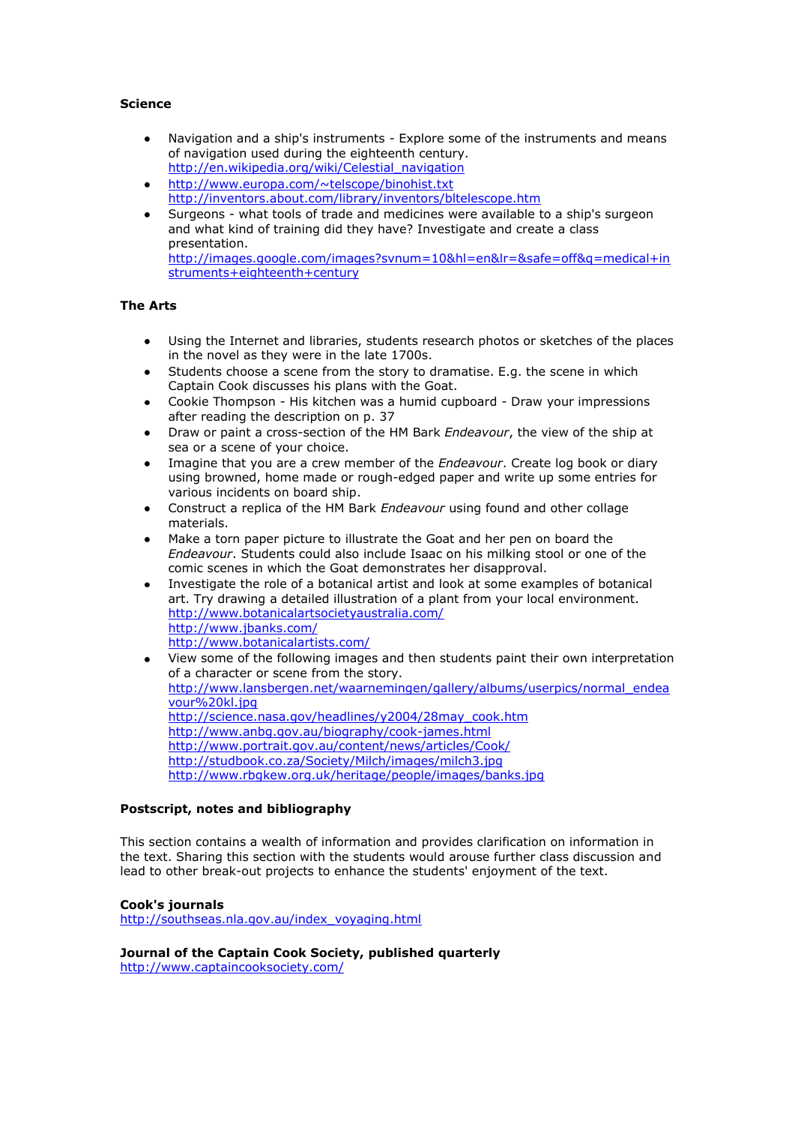# **Science**

- Navigation and a ship's instruments Explore some of the instruments and means of navigation used during the eighteenth century. [http://en.wikipedia.org/wiki/Celestial\\_navigation](http://en.wikipedia.org/wiki/Celestial_navigation)
- <http://www.europa.com/~telscope/binohist.txt> <http://inventors.about.com/library/inventors/bltelescope.htm>
- Surgeons what tools of trade and medicines were available to a ship's surgeon and what kind of training did they have? Investigate and create a class presentation. [http://images.google.com/images?svnum=10&hl=en&lr=&safe=off&q=medical+in](http://images.google.com/images?svnum=10&hl=en&lr=&safe=off&q=medical+instruments+eighteenth+century) [struments+eighteenth+century](http://images.google.com/images?svnum=10&hl=en&lr=&safe=off&q=medical+instruments+eighteenth+century)

## **The Arts**

- Using the Internet and libraries, students research photos or sketches of the places in the novel as they were in the late 1700s.
- Students choose a scene from the story to dramatise. E.g. the scene in which Captain Cook discusses his plans with the Goat.
- Cookie Thompson His kitchen was a humid cupboard Draw your impressions after reading the description on p. 37
- Draw or paint a cross-section of the HM Bark *Endeavour*, the view of the ship at sea or a scene of your choice.
- Imagine that you are a crew member of the *Endeavour*. Create log book or diary using browned, home made or rough-edged paper and write up some entries for various incidents on board ship.
- Construct a replica of the HM Bark *Endeavour* using found and other collage materials.
- Make a torn paper picture to illustrate the Goat and her pen on board the *Endeavour*. Students could also include Isaac on his milking stool or one of the comic scenes in which the Goat demonstrates her disapproval.
- Investigate the role of a botanical artist and look at some examples of botanical art. Try drawing a detailed illustration of a plant from your local environment. <http://www.botanicalartsocietyaustralia.com/> <http://www.jbanks.com/> <http://www.botanicalartists.com/>
- View some of the following images and then students paint their own interpretation  $\bullet$ of a character or scene from the story. [http://www.lansbergen.net/waarnemingen/gallery/albums/userpics/normal\\_endea](http://www.lansbergen.net/waarnemingen/gallery/albums/userpics/normal_endeavour%20kl.jpg) [vour%20kl.jpg](http://www.lansbergen.net/waarnemingen/gallery/albums/userpics/normal_endeavour%20kl.jpg) [http://science.nasa.gov/headlines/y2004/28may\\_cook.htm](http://science.nasa.gov/headlines/y2004/28may_cook.htm) <http://www.anbg.gov.au/biography/cook-james.html> <http://www.portrait.gov.au/content/news/articles/Cook/> <http://studbook.co.za/Society/Milch/images/milch3.jpg> <http://www.rbgkew.org.uk/heritage/people/images/banks.jpg>

## **Postscript, notes and bibliography**

This section contains a wealth of information and provides clarification on information in the text. Sharing this section with the students would arouse further class discussion and lead to other break-out projects to enhance the students' enjoyment of the text.

## **Cook's journals**

[http://southseas.nla.gov.au/index\\_voyaging.html](http://southseas.nla.gov.au/index_voyaging.html)

**Journal of the Captain Cook Society, published quarterly**

<http://www.captaincooksociety.com/>